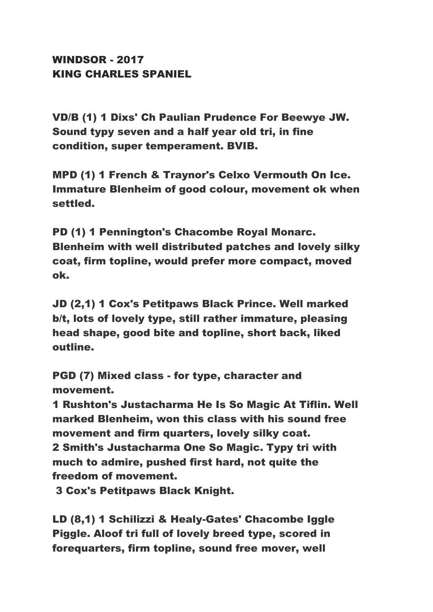## WINDSOR - 2017 KING CHARLES SPANIEL

VD/B (1) 1 Dixs' Ch Paulian Prudence For Beewye JW. Sound typy seven and a half year old tri, in fine condition, super temperament. BVIB.

MPD (1) 1 French & Traynor's Celxo Vermouth On Ice. Immature Blenheim of good colour, movement ok when settled.

PD (1) 1 Pennington's Chacombe Royal Monarc. Blenheim with well distributed patches and lovely silky coat, firm topline, would prefer more compact, moved ok.

JD (2,1) 1 Cox's Petitpaws Black Prince. Well marked b/t, lots of lovely type, still rather immature, pleasing head shape, good bite and topline, short back, liked outline.

PGD (7) Mixed class - for type, character and movement.

1 Rushton's Justacharma He Is So Magic At Tiflin. Well marked Blenheim, won this class with his sound free movement and firm quarters, lovely silky coat. 2 Smith's Justacharma One So Magic. Typy tri with much to admire, pushed first hard, not quite the freedom of movement.

3 Cox's Petitpaws Black Knight.

LD (8,1) 1 Schilizzi & Healy-Gates' Chacombe Iggle Piggle. Aloof tri full of lovely breed type, scored in forequarters, firm topline, sound free mover, well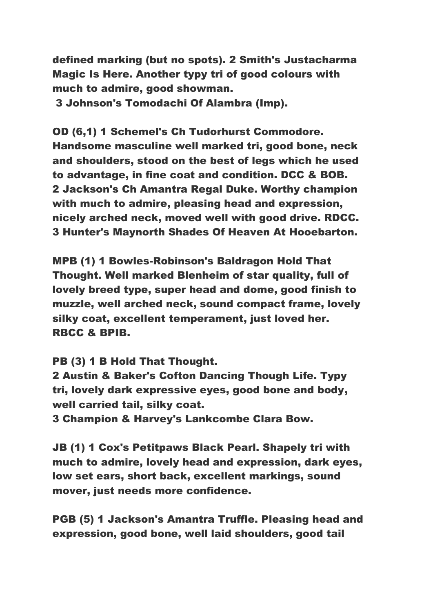defined marking (but no spots). 2 Smith's Justacharma Magic Is Here. Another typy tri of good colours with much to admire, good showman.

3 Johnson's Tomodachi Of Alambra (Imp).

OD (6,1) 1 Schemel's Ch Tudorhurst Commodore. Handsome masculine well marked tri, good bone, neck and shoulders, stood on the best of legs which he used to advantage, in fine coat and condition. DCC & BOB. 2 Jackson's Ch Amantra Regal Duke. Worthy champion with much to admire, pleasing head and expression, nicely arched neck, moved well with good drive. RDCC. 3 Hunter's Maynorth Shades Of Heaven At Hooebarton.

MPB (1) 1 Bowles-Robinson's Baldragon Hold That Thought. Well marked Blenheim of star quality, full of lovely breed type, super head and dome, good finish to muzzle, well arched neck, sound compact frame, lovely silky coat, excellent temperament, just loved her. RBCC & BPIB.

PB (3) 1 B Hold That Thought.

2 Austin & Baker's Cofton Dancing Though Life. Typy tri, lovely dark expressive eyes, good bone and body, well carried tail, silky coat.

3 Champion & Harvey's Lankcombe Clara Bow.

JB (1) 1 Cox's Petitpaws Black Pearl. Shapely tri with much to admire, lovely head and expression, dark eyes, low set ears, short back, excellent markings, sound mover, just needs more confidence.

PGB (5) 1 Jackson's Amantra Truffle. Pleasing head and expression, good bone, well laid shoulders, good tail